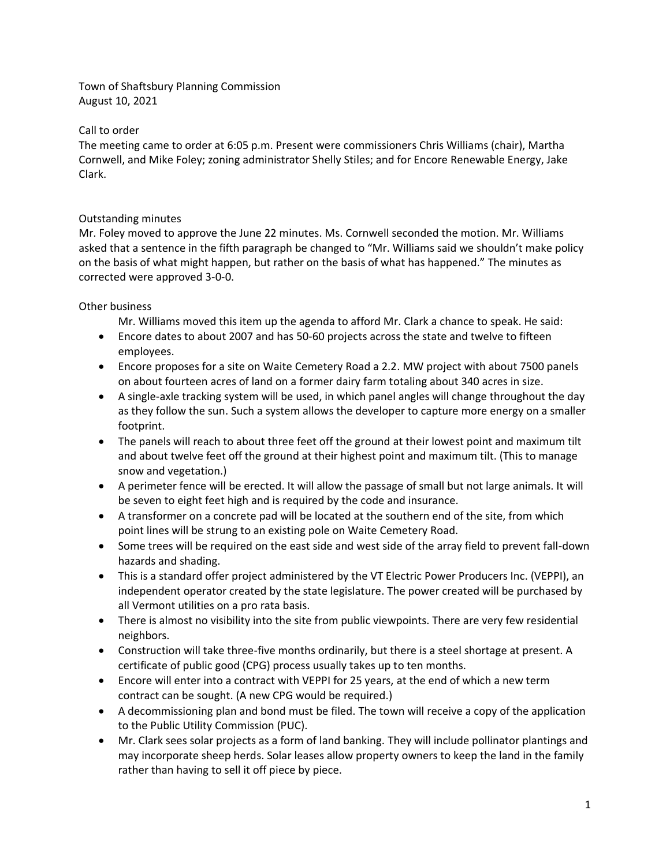Town of Shaftsbury Planning Commission August 10, 2021

## Call to order

The meeting came to order at 6:05 p.m. Present were commissioners Chris Williams (chair), Martha Cornwell, and Mike Foley; zoning administrator Shelly Stiles; and for Encore Renewable Energy, Jake Clark.

## Outstanding minutes

Mr. Foley moved to approve the June 22 minutes. Ms. Cornwell seconded the motion. Mr. Williams asked that a sentence in the fifth paragraph be changed to "Mr. Williams said we shouldn't make policy on the basis of what might happen, but rather on the basis of what has happened." The minutes as corrected were approved 3-0-0.

## Other business

Mr. Williams moved this item up the agenda to afford Mr. Clark a chance to speak. He said:

- Encore dates to about 2007 and has 50-60 projects across the state and twelve to fifteen employees.
- Encore proposes for a site on Waite Cemetery Road a 2.2. MW project with about 7500 panels on about fourteen acres of land on a former dairy farm totaling about 340 acres in size.
- A single-axle tracking system will be used, in which panel angles will change throughout the day as they follow the sun. Such a system allows the developer to capture more energy on a smaller footprint.
- The panels will reach to about three feet off the ground at their lowest point and maximum tilt and about twelve feet off the ground at their highest point and maximum tilt. (This to manage snow and vegetation.)
- A perimeter fence will be erected. It will allow the passage of small but not large animals. It will be seven to eight feet high and is required by the code and insurance.
- A transformer on a concrete pad will be located at the southern end of the site, from which point lines will be strung to an existing pole on Waite Cemetery Road.
- Some trees will be required on the east side and west side of the array field to prevent fall-down hazards and shading.
- This is a standard offer project administered by the VT Electric Power Producers Inc. (VEPPI), an independent operator created by the state legislature. The power created will be purchased by all Vermont utilities on a pro rata basis.
- There is almost no visibility into the site from public viewpoints. There are very few residential neighbors.
- Construction will take three-five months ordinarily, but there is a steel shortage at present. A certificate of public good (CPG) process usually takes up to ten months.
- Encore will enter into a contract with VEPPI for 25 years, at the end of which a new term contract can be sought. (A new CPG would be required.)
- A decommissioning plan and bond must be filed. The town will receive a copy of the application to the Public Utility Commission (PUC).
- Mr. Clark sees solar projects as a form of land banking. They will include pollinator plantings and may incorporate sheep herds. Solar leases allow property owners to keep the land in the family rather than having to sell it off piece by piece.